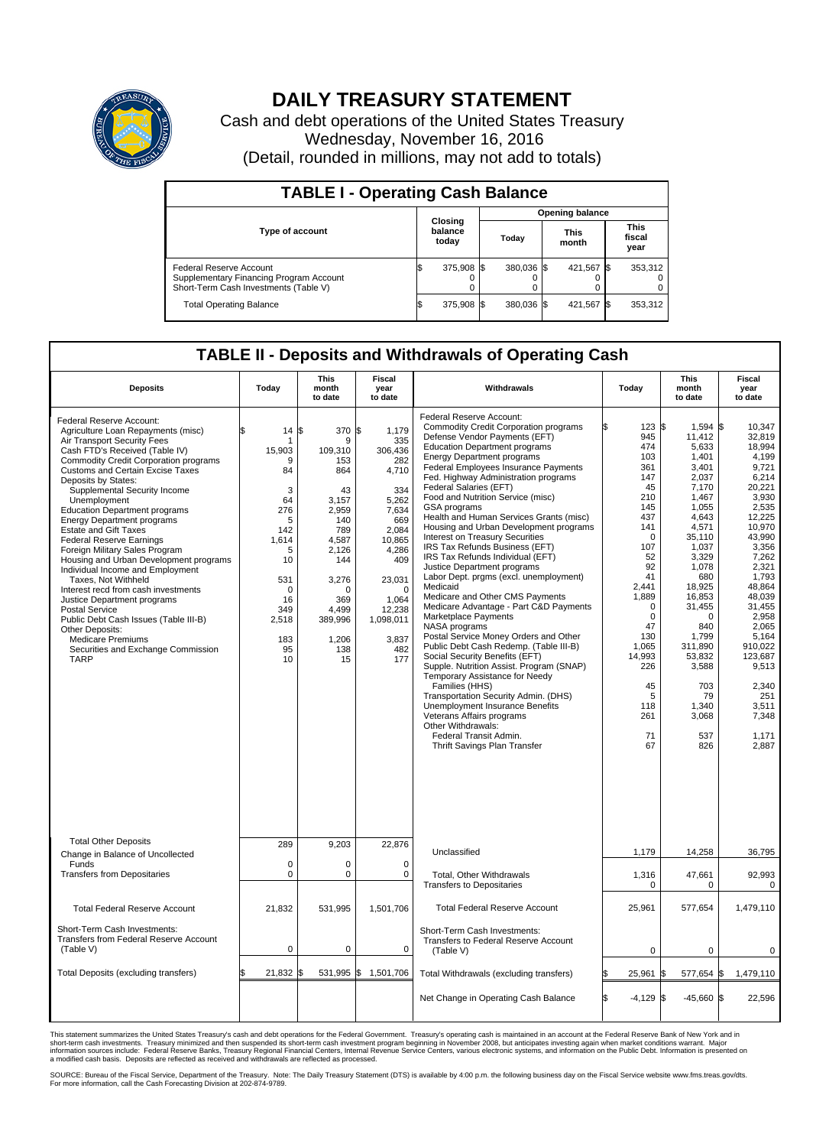

## **DAILY TREASURY STATEMENT**

Cash and debt operations of the United States Treasury Wednesday, November 16, 2016 (Detail, rounded in millions, may not add to totals)

| <b>TABLE I - Operating Cash Balance</b>                                                                     |  |                             |  |                        |  |                      |  |                               |  |  |  |
|-------------------------------------------------------------------------------------------------------------|--|-----------------------------|--|------------------------|--|----------------------|--|-------------------------------|--|--|--|
|                                                                                                             |  |                             |  | <b>Opening balance</b> |  |                      |  |                               |  |  |  |
| <b>Type of account</b>                                                                                      |  | Closing<br>balance<br>today |  | Today                  |  | <b>This</b><br>month |  | <b>This</b><br>fiscal<br>year |  |  |  |
| Federal Reserve Account<br>Supplementary Financing Program Account<br>Short-Term Cash Investments (Table V) |  | 375,908 \$                  |  | 380.036 \$             |  | 421.567 \$           |  | 353,312                       |  |  |  |
| <b>Total Operating Balance</b>                                                                              |  | 375,908 \$                  |  | 380.036 \$             |  | 421,567 \$           |  | 353,312                       |  |  |  |

## **TABLE II - Deposits and Withdrawals of Operating Cash**

| <b>Deposits</b>                                                                                                                                                                                                                                                                                                                                                                                                                                                                                                                                                                                                                                                                                                                                                                                                                      | Today                                                                                                                                       | <b>This</b><br>month<br>to date                                                                                                                                       | <b>Fiscal</b><br>year<br>to date                                                                                                                                                              | Withdrawals                                                                                                                                                                                                                                                                                                                                                                                                                                                                                                                                                                                                                                                                                                                                                                                                                                                                                                                                                                                                                                                                                                                                                                        | Today                                                                                                                                                                                                                                      | <b>This</b><br>month<br>to date                                                                                                                                                                                                                                                        | Fiscal<br>year<br>to date                                                                                                                                                                                                                                                                       |
|--------------------------------------------------------------------------------------------------------------------------------------------------------------------------------------------------------------------------------------------------------------------------------------------------------------------------------------------------------------------------------------------------------------------------------------------------------------------------------------------------------------------------------------------------------------------------------------------------------------------------------------------------------------------------------------------------------------------------------------------------------------------------------------------------------------------------------------|---------------------------------------------------------------------------------------------------------------------------------------------|-----------------------------------------------------------------------------------------------------------------------------------------------------------------------|-----------------------------------------------------------------------------------------------------------------------------------------------------------------------------------------------|------------------------------------------------------------------------------------------------------------------------------------------------------------------------------------------------------------------------------------------------------------------------------------------------------------------------------------------------------------------------------------------------------------------------------------------------------------------------------------------------------------------------------------------------------------------------------------------------------------------------------------------------------------------------------------------------------------------------------------------------------------------------------------------------------------------------------------------------------------------------------------------------------------------------------------------------------------------------------------------------------------------------------------------------------------------------------------------------------------------------------------------------------------------------------------|--------------------------------------------------------------------------------------------------------------------------------------------------------------------------------------------------------------------------------------------|----------------------------------------------------------------------------------------------------------------------------------------------------------------------------------------------------------------------------------------------------------------------------------------|-------------------------------------------------------------------------------------------------------------------------------------------------------------------------------------------------------------------------------------------------------------------------------------------------|
| Federal Reserve Account:<br>Agriculture Loan Repayments (misc)<br>Air Transport Security Fees<br>Cash FTD's Received (Table IV)<br><b>Commodity Credit Corporation programs</b><br><b>Customs and Certain Excise Taxes</b><br>Deposits by States:<br>Supplemental Security Income<br>Unemployment<br><b>Education Department programs</b><br><b>Energy Department programs</b><br><b>Estate and Gift Taxes</b><br><b>Federal Reserve Earnings</b><br>Foreign Military Sales Program<br>Housing and Urban Development programs<br>Individual Income and Employment<br>Taxes, Not Withheld<br>Interest recd from cash investments<br>Justice Department programs<br><b>Postal Service</b><br>Public Debt Cash Issues (Table III-B)<br>Other Deposits:<br><b>Medicare Premiums</b><br>Securities and Exchange Commission<br><b>TARP</b> | 14<br>\$<br>15,903<br>9<br>84<br>3<br>64<br>276<br>5<br>142<br>1,614<br>5<br>10<br>531<br>$\Omega$<br>16<br>349<br>2,518<br>183<br>95<br>10 | \$<br>370<br>9<br>109,310<br>153<br>864<br>43<br>3,157<br>2,959<br>140<br>789<br>4,587<br>2,126<br>144<br>3,276<br>O<br>369<br>4,499<br>389,996<br>1,206<br>138<br>15 | \$<br>1,179<br>335<br>306,436<br>282<br>4,710<br>334<br>5,262<br>7,634<br>669<br>2.084<br>10,865<br>4,286<br>409<br>23,031<br>$\Omega$<br>1,064<br>12,238<br>1,098,011<br>3,837<br>482<br>177 | Federal Reserve Account:<br><b>Commodity Credit Corporation programs</b><br>Defense Vendor Payments (EFT)<br><b>Education Department programs</b><br><b>Energy Department programs</b><br><b>Federal Employees Insurance Payments</b><br>Fed. Highway Administration programs<br>Federal Salaries (EFT)<br>Food and Nutrition Service (misc)<br>GSA programs<br>Health and Human Services Grants (misc)<br>Housing and Urban Development programs<br>Interest on Treasury Securities<br>IRS Tax Refunds Business (EFT)<br>IRS Tax Refunds Individual (EFT)<br>Justice Department programs<br>Labor Dept. prgms (excl. unemployment)<br>Medicaid<br>Medicare and Other CMS Payments<br>Medicare Advantage - Part C&D Payments<br>Marketplace Payments<br>NASA programs<br>Postal Service Money Orders and Other<br>Public Debt Cash Redemp. (Table III-B)<br>Social Security Benefits (EFT)<br>Supple. Nutrition Assist. Program (SNAP)<br>Temporary Assistance for Needy<br>Families (HHS)<br>Transportation Security Admin. (DHS)<br>Unemployment Insurance Benefits<br>Veterans Affairs programs<br>Other Withdrawals:<br>Federal Transit Admin.<br>Thrift Savings Plan Transfer | 123S<br>945<br>474<br>103<br>361<br>147<br>45<br>210<br>145<br>437<br>141<br>$\Omega$<br>107<br>52<br>92<br>41<br>2.441<br>1,889<br>$\mathbf 0$<br>$\mathbf 0$<br>47<br>130<br>1,065<br>14,993<br>226<br>45<br>5<br>118<br>261<br>71<br>67 | $1.594$ \$<br>11,412<br>5,633<br>1,401<br>3.401<br>2,037<br>7.170<br>1,467<br>1,055<br>4,643<br>4,571<br>35,110<br>1,037<br>3,329<br>1,078<br>680<br>18,925<br>16,853<br>31,455<br>$\Omega$<br>840<br>1,799<br>311,890<br>53,832<br>3,588<br>703<br>79<br>1,340<br>3,068<br>537<br>826 | 10.347<br>32.819<br>18.994<br>4,199<br>9.721<br>6,214<br>20.221<br>3,930<br>2.535<br>12,225<br>10,970<br>43.990<br>3,356<br>7,262<br>2,321<br>1,793<br>48,864<br>48,039<br>31.455<br>2,958<br>2.065<br>5,164<br>910,022<br>123,687<br>9,513<br>2,340<br>251<br>3,511<br>7,348<br>1,171<br>2,887 |
| <b>Total Other Deposits</b><br>Change in Balance of Uncollected                                                                                                                                                                                                                                                                                                                                                                                                                                                                                                                                                                                                                                                                                                                                                                      | 289                                                                                                                                         | 9,203                                                                                                                                                                 | 22,876                                                                                                                                                                                        | Unclassified                                                                                                                                                                                                                                                                                                                                                                                                                                                                                                                                                                                                                                                                                                                                                                                                                                                                                                                                                                                                                                                                                                                                                                       | 1,179                                                                                                                                                                                                                                      | 14,258                                                                                                                                                                                                                                                                                 | 36,795                                                                                                                                                                                                                                                                                          |
| Funds<br><b>Transfers from Depositaries</b>                                                                                                                                                                                                                                                                                                                                                                                                                                                                                                                                                                                                                                                                                                                                                                                          | $\mathbf 0$<br>$\mathbf 0$                                                                                                                  | 0<br>0                                                                                                                                                                | 0<br>$\mathbf 0$                                                                                                                                                                              | Total, Other Withdrawals<br><b>Transfers to Depositaries</b>                                                                                                                                                                                                                                                                                                                                                                                                                                                                                                                                                                                                                                                                                                                                                                                                                                                                                                                                                                                                                                                                                                                       | 1,316<br>$\Omega$                                                                                                                                                                                                                          | 47,661<br>$\Omega$                                                                                                                                                                                                                                                                     | 92,993<br>$\Omega$                                                                                                                                                                                                                                                                              |
| <b>Total Federal Reserve Account</b>                                                                                                                                                                                                                                                                                                                                                                                                                                                                                                                                                                                                                                                                                                                                                                                                 | 21,832                                                                                                                                      | 531,995                                                                                                                                                               | 1,501,706                                                                                                                                                                                     | <b>Total Federal Reserve Account</b>                                                                                                                                                                                                                                                                                                                                                                                                                                                                                                                                                                                                                                                                                                                                                                                                                                                                                                                                                                                                                                                                                                                                               | 25,961                                                                                                                                                                                                                                     | 577,654                                                                                                                                                                                                                                                                                | 1,479,110                                                                                                                                                                                                                                                                                       |
| Short-Term Cash Investments:<br>Transfers from Federal Reserve Account<br>(Table V)                                                                                                                                                                                                                                                                                                                                                                                                                                                                                                                                                                                                                                                                                                                                                  | $\pmb{0}$                                                                                                                                   | 0                                                                                                                                                                     | $\mathbf 0$                                                                                                                                                                                   | Short-Term Cash Investments:<br>Transfers to Federal Reserve Account<br>(Table V)                                                                                                                                                                                                                                                                                                                                                                                                                                                                                                                                                                                                                                                                                                                                                                                                                                                                                                                                                                                                                                                                                                  | $\mathbf 0$                                                                                                                                                                                                                                | 0                                                                                                                                                                                                                                                                                      | 0                                                                                                                                                                                                                                                                                               |
| Total Deposits (excluding transfers)                                                                                                                                                                                                                                                                                                                                                                                                                                                                                                                                                                                                                                                                                                                                                                                                 | 21,832                                                                                                                                      | \$                                                                                                                                                                    | 531,995 \$ 1,501,706                                                                                                                                                                          | Total Withdrawals (excluding transfers)                                                                                                                                                                                                                                                                                                                                                                                                                                                                                                                                                                                                                                                                                                                                                                                                                                                                                                                                                                                                                                                                                                                                            | 25,961<br>\$                                                                                                                                                                                                                               | 577,654 \$<br>l\$                                                                                                                                                                                                                                                                      | 1,479,110                                                                                                                                                                                                                                                                                       |
|                                                                                                                                                                                                                                                                                                                                                                                                                                                                                                                                                                                                                                                                                                                                                                                                                                      |                                                                                                                                             |                                                                                                                                                                       |                                                                                                                                                                                               | Net Change in Operating Cash Balance                                                                                                                                                                                                                                                                                                                                                                                                                                                                                                                                                                                                                                                                                                                                                                                                                                                                                                                                                                                                                                                                                                                                               | Ŝ.<br>$-4,129$ \$                                                                                                                                                                                                                          | $-45,660$ \$                                                                                                                                                                                                                                                                           | 22,596                                                                                                                                                                                                                                                                                          |

This statement summarizes the United States Treasury's cash and debt operations for the Federal Government. Treasury's operating cash is maintained in an account at the Federal Reserve Bank of New York and in<br>short-term ca

SOURCE: Bureau of the Fiscal Service, Department of the Treasury. Note: The Daily Treasury Statement (DTS) is available by 4:00 p.m. the following business day on the Fiscal Service website www.fms.treas.gov/dts.<br>For more